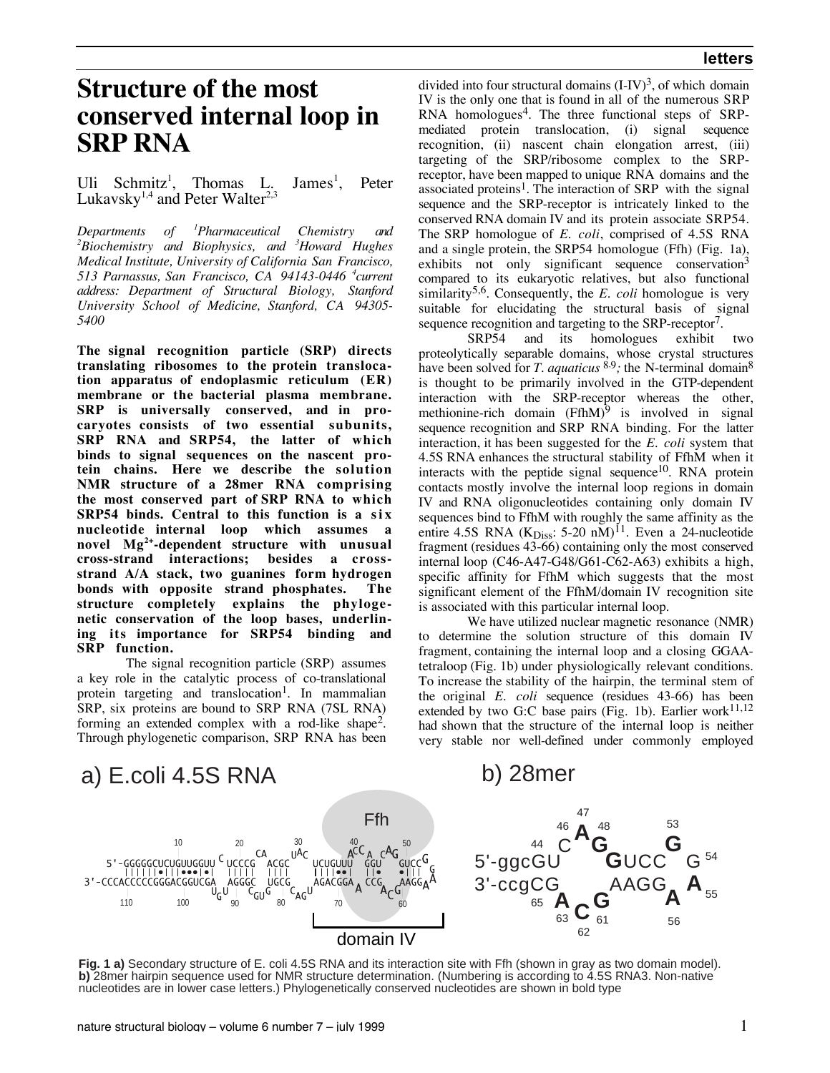# **Structure of the most conserved internal loop in SRP RNA**

Uli Schmitz<sup>1</sup>, Thomas L. James<sup>1</sup>, , Peter Lukavsky<sup>1,4</sup> and Peter Walter<sup>2,3</sup>

*Departments of 1 Pharmaceutical Chemistry and 2 Biochemistry and Biophysics, and 3 Howard Hughes Medical Institute, University of California San Francisco, 513 Parnassus, San Francisco, CA 94143-0446 4 current address: Department of Structural Biology, Stanford University School of Medicine, Stanford, CA 94305- 5400*

**The signal recognition particle (SRP) directs translating ribosomes to the protein translocation apparatus of endoplasmic reticulum (ER) membrane or the bacterial plasma membrane. SRP is universally conserved, and in procaryotes consists of two essential subunits, SRP RNA and SRP54, the latter of which binds to signal sequences on the nascent protein chains. Here we describe the solution NMR structure of a 28mer RNA comprising the most conserved part of SRP RNA to which SRP54** binds. Central to this function is a six **nucleotide internal loop which assumes a novel Mg2+-dependent structure with unusual cross-strand interactions; besides a crossstrand A/A stack, two guanines form hydrogen bonds with opposite strand phosphates. The structure completely explains the phylogenetic conservation of the loop bases, underlining its importance for SRP54 binding and SRP function.**

The signal recognition particle (SRP) assumes a key role in the catalytic process of co-translational protein targeting and translocation<sup>1</sup>. In mammalian SRP, six proteins are bound to SRP RNA (7SL RNA) forming an extended complex with a rod-like shape2. Through phylogenetic comparison, SRP RNA has been

divided into four structural domains  $(I-IV)^3$ , of which domain IV is the only one that is found in all of the numerous SRP RNA homologues<sup>4</sup>. The three functional steps of SRPmediated protein translocation, (i) signal sequence recognition, (ii) nascent chain elongation arrest, (iii) targeting of the SRP/ribosome complex to the SRPreceptor, have been mapped to unique RNA domains and the associated proteins<sup>1</sup>. The interaction of SRP with the signal sequence and the SRP-receptor is intricately linked to the conserved RNA domain IV and its protein associate SRP54. The SRP homologue of *E. coli*, comprised of 4.5S RNA and a single protein, the SRP54 homologue (Ffh) (Fig. 1a), exhibits not only significant sequence conservation $3$ compared to its eukaryotic relatives, but also functional similarity<sup>5,6</sup>. Consequently, the *E. coli* homologue is very suitable for elucidating the structural basis of signal sequence recognition and targeting to the SRP-receptor<sup>7</sup>.

SRP54 and its homologues exhibit two proteolytically separable domains, whose crystal structures have been solved for *T. aquaticus* <sup>8,9</sup>; the N-terminal domain<sup>8</sup> is thought to be primarily involved in the GTP-dependent interaction with the SRP-receptor whereas the other, methionine-rich domain  $(FfhM)^9$  is involved in signal sequence recognition and SRP RNA binding. For the latter interaction, it has been suggested for the *E. coli* system that 4.5S RNA enhances the structural stability of FfhM when it interacts with the peptide signal sequence<sup>10</sup>. RNA protein contacts mostly involve the internal loop regions in domain IV and RNA oligonucleotides containing only domain IV sequences bind to FfhM with roughly the same affinity as the entire 4.5S RNA ( $K_{Diss}$ : 5-20 nM)<sup>11</sup>. Even a 24-nucleotide fragment (residues 43-66) containing only the most conserved internal loop (C46-A47-G48/G61-C62-A63) exhibits a high, specific affinity for FfhM which suggests that the most significant element of the FfhM/domain IV recognition site is associated with this particular internal loop.

We have utilized nuclear magnetic resonance (NMR) to determine the solution structure of this domain IV fragment, containing the internal loop and a closing GGAAtetraloop (Fig. 1b) under physiologically relevant conditions. To increase the stability of the hairpin, the terminal stem of the original *E. coli* sequence (residues 43-66) has been extended by two G:C base pairs (Fig. 1b). Earlier work $11,12$ had shown that the structure of the internal loop is neither very stable nor well-defined under commonly employed



**Fig. 1 a)** Secondary structure of E. coli 4.5S RNA and its interaction site with Ffh (shown in gray as two domain model). **b)** 28mer hairpin sequence used for NMR structure determination. (Numbering is according to 4.5S RNA3. Non-native nucleotides are in lower case letters.) Phylogenetically conserved nucleotides are shown in bold type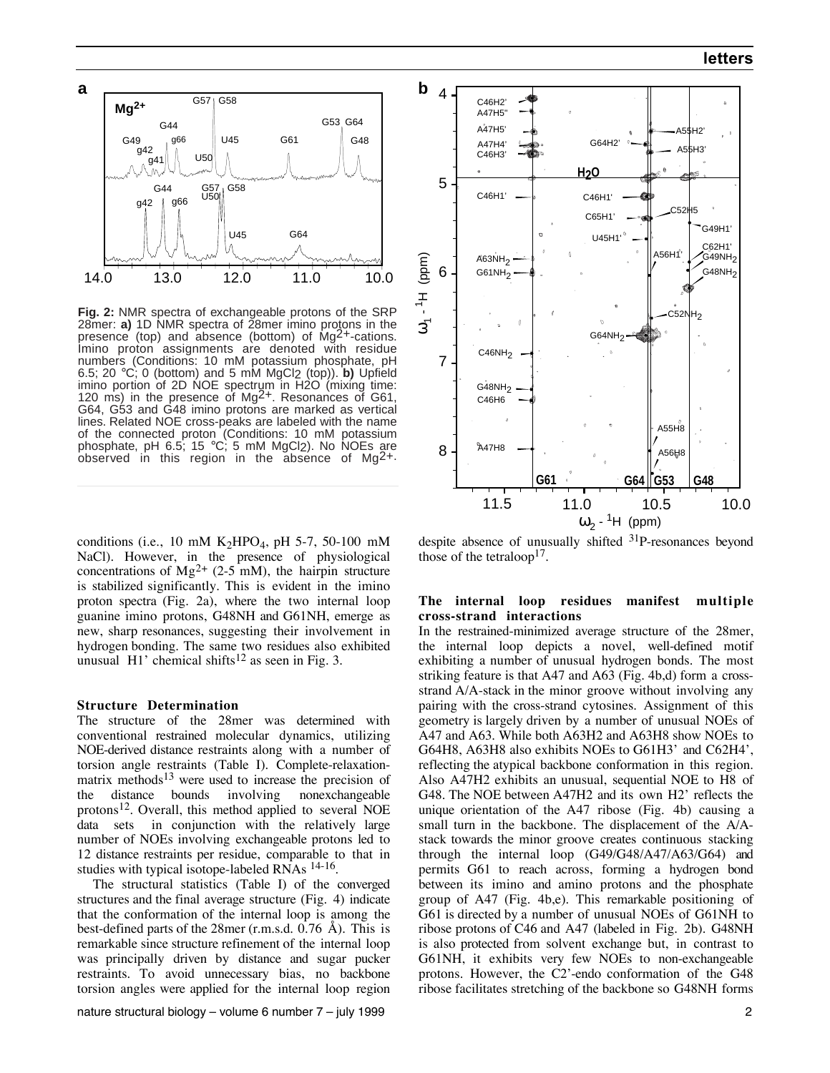

**Fig. 2:** NMR spectra of exchangeable protons of the SRP 28mer: **a)** 1D NMR spectra of 28mer imino protons in the presence (top) and absence (bottom) of Mg2+-cations. Imino proton assignments are denoted with residue numbers (Conditions: 10 mM potassium phosphate, pH 6.5; 20 °C; 0 (bottom) and 5 mM MgCl2 (top)). **b)** Upfield imino portion of 2D NOE spectrum in H2O (mixing time: 120 ms) in the presence of Mg<sup>2+</sup>. Resonances of G61. G64, G53 and G48 imino protons are marked as vertical lines. Related NOE cross-peaks are labeled with the name of the connected proton (Conditions: 10 mM potassium phosphate, pH 6.5; 15  $\degree$ C; 5 mM MgCl<sub>2</sub>). No NOEs are observed in this region in the absence of  $Mq^2$ +.

conditions (i.e., 10 mM  $K<sub>2</sub>HPO<sub>4</sub>$ , pH 5-7, 50-100 mM NaCl). However, in the presence of physiological concentrations of  $Mg^{2+}$  (2-5 mM), the hairpin structure is stabilized significantly. This is evident in the imino proton spectra (Fig. 2a), where the two internal loop guanine imino protons, G48NH and G61NH, emerge as new, sharp resonances, suggesting their involvement in hydrogen bonding. The same two residues also exhibited unusual  $H1'$  chemical shifts<sup>12</sup> as seen in Fig. 3.

#### **Structure Determination**

The structure of the 28mer was determined with conventional restrained molecular dynamics, utilizing NOE-derived distance restraints along with a number of torsion angle restraints (Table I). Complete-relaxationmatrix methods<sup>13</sup> were used to increase the precision of the distance bounds involving nonexchangeable protons<sup>12</sup>. Overall, this method applied to several NOE data sets in conjunction with the relatively large number of NOEs involving exchangeable protons led to 12 distance restraints per residue, comparable to that in studies with typical isotope-labeled RNAs <sup>14-16</sup>.

 The structural statistics (Table I) of the converged structures and the final average structure (Fig. 4) indicate that the conformation of the internal loop is among the best-defined parts of the 28mer (r.m.s.d. 0.76 Å). This is remarkable since structure refinement of the internal loop was principally driven by distance and sugar pucker restraints. To avoid unnecessary bias, no backbone torsion angles were applied for the internal loop region



despite absence of unusually shifted 31P-resonances beyond those of the tetraloop<sup>17</sup>.

## **The internal loop residues manifest multiple cross-strand interactions**

In the restrained-minimized average structure of the 28mer, the internal loop depicts a novel, well-defined motif exhibiting a number of unusual hydrogen bonds. The most striking feature is that A47 and A63 (Fig. 4b,d) form a crossstrand A/A-stack in the minor groove without involving any pairing with the cross-strand cytosines. Assignment of this geometry is largely driven by a number of unusual NOEs of A47 and A63. While both A63H2 and A63H8 show NOEs to G64H8, A63H8 also exhibits NOEs to G61H3' and C62H4', reflecting the atypical backbone conformation in this region. Also A47H2 exhibits an unusual, sequential NOE to H8 of G48. The NOE between A47H2 and its own H2' reflects the unique orientation of the A47 ribose (Fig. 4b) causing a small turn in the backbone. The displacement of the A/Astack towards the minor groove creates continuous stacking through the internal loop (G49/G48/A47/A63/G64) and permits G61 to reach across, forming a hydrogen bond between its imino and amino protons and the phosphate group of A47 (Fig. 4b,e). This remarkable positioning of G61 is directed by a number of unusual NOEs of G61NH to ribose protons of C46 and A47 (labeled in Fig. 2b). G48NH is also protected from solvent exchange but, in contrast to G61NH, it exhibits very few NOEs to non-exchangeable protons. However, the C2'-endo conformation of the G48 ribose facilitates stretching of the backbone so G48NH forms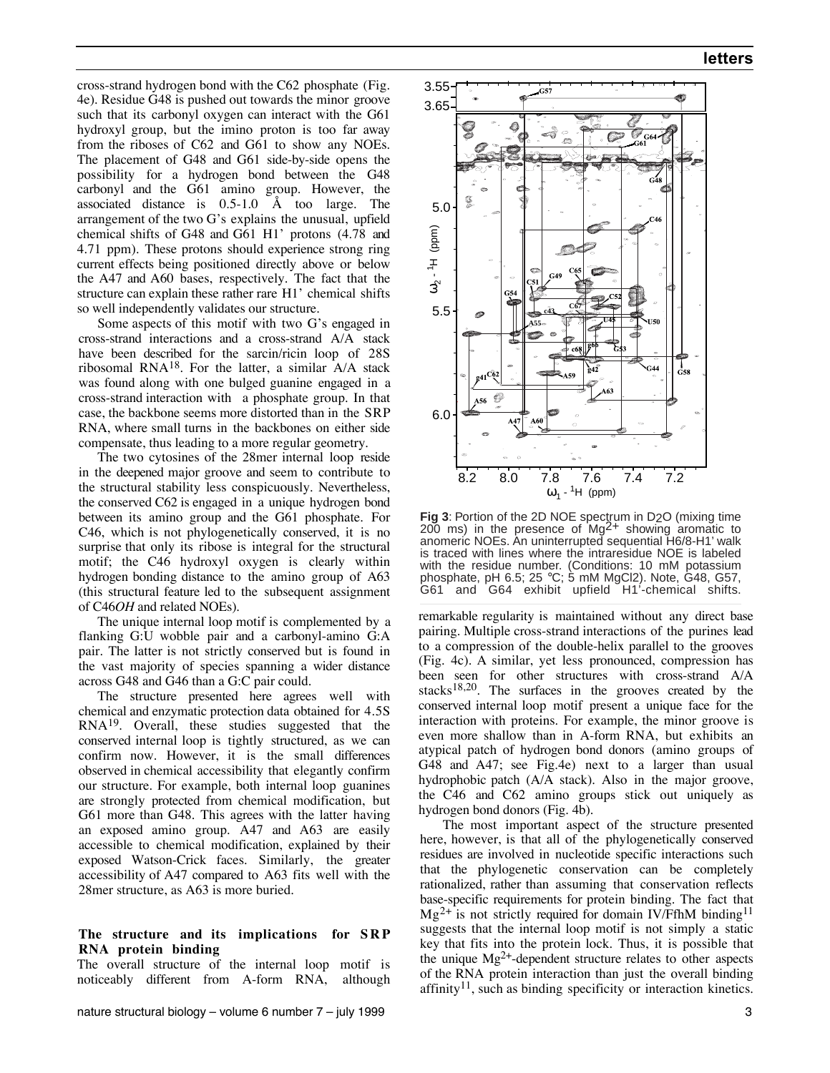cross-strand hydrogen bond with the C62 phosphate (Fig. 4e). Residue G48 is pushed out towards the minor groove such that its carbonyl oxygen can interact with the G61 hydroxyl group, but the imino proton is too far away from the riboses of C62 and G61 to show any NOEs. The placement of G48 and G61 side-by-side opens the possibility for a hydrogen bond between the G48 carbonyl and the G61 amino group. However, the associated distance is 0.5-1.0 Å too large. The arrangement of the two G's explains the unusual, upfield chemical shifts of G48 and G61 H1' protons (4.78 and 4.71 ppm). These protons should experience strong ring current effects being positioned directly above or below the A47 and A60 bases, respectively. The fact that the structure can explain these rather rare H1' chemical shifts so well independently validates our structure.

Some aspects of this motif with two G's engaged in cross-strand interactions and a cross-strand A/A stack have been described for the sarcin/ricin loop of 28S ribosomal RNA<sup>18</sup>. For the latter, a similar  $A/A$  stack was found along with one bulged guanine engaged in a cross-strand interaction with a phosphate group. In that case, the backbone seems more distorted than in the SRP RNA, where small turns in the backbones on either side compensate, thus leading to a more regular geometry.

The two cytosines of the 28mer internal loop reside in the deepened major groove and seem to contribute to the structural stability less conspicuously. Nevertheless, the conserved C62 is engaged in a unique hydrogen bond between its amino group and the G61 phosphate. For C46, which is not phylogenetically conserved, it is no surprise that only its ribose is integral for the structural motif; the C46 hydroxyl oxygen is clearly within hydrogen bonding distance to the amino group of A63 (this structural feature led to the subsequent assignment of C46*OH* and related NOEs).

The unique internal loop motif is complemented by a flanking G:U wobble pair and a carbonyl-amino G:A pair. The latter is not strictly conserved but is found in the vast majority of species spanning a wider distance across G48 and G46 than a G:C pair could.

The structure presented here agrees well with chemical and enzymatic protection data obtained for 4.5S  $RNA<sup>19</sup>$ . Overall, these studies suggested that the conserved internal loop is tightly structured, as we can confirm now. However, it is the small differences observed in chemical accessibility that elegantly confirm our structure. For example, both internal loop guanines are strongly protected from chemical modification, but G61 more than G48. This agrees with the latter having an exposed amino group. A47 and A63 are easily accessible to chemical modification, explained by their exposed Watson-Crick faces. Similarly, the greater accessibility of A47 compared to A63 fits well with the 28mer structure, as A63 is more buried.

## The structure and its implications for SRP **RNA protein binding**

The overall structure of the internal loop motif is noticeably different from A-form RNA, although



**Fig 3**: Portion of the 2D NOE spectrum in D2O (mixing time 200 ms) in the presence of Mg<sup>2+</sup> showing aromatic to anomeric NOEs. An uninterrupted sequential H6/8-H1' walk is traced with lines where the intraresidue NOE is labeled with the residue number. (Conditions: 10 mM potassium phosphate, pH 6.5; 25 °C; 5 mM MgCl2). Note, G48, G57, G61 and G64 exhibit upfield H1'-chemical shifts.

remarkable regularity is maintained without any direct base pairing. Multiple cross-strand interactions of the purines lead to a compression of the double-helix parallel to the grooves (Fig. 4c). A similar, yet less pronounced, compression has been seen for other structures with cross-strand A/A stacks18,20. The surfaces in the grooves created by the conserved internal loop motif present a unique face for the interaction with proteins. For example, the minor groove is even more shallow than in A-form RNA, but exhibits an atypical patch of hydrogen bond donors (amino groups of G48 and A47; see Fig.4e) next to a larger than usual hydrophobic patch (A/A stack). Also in the major groove, the C46 and C62 amino groups stick out uniquely as hydrogen bond donors (Fig. 4b).

 The most important aspect of the structure presented here, however, is that all of the phylogenetically conserved residues are involved in nucleotide specific interactions such that the phylogenetic conservation can be completely rationalized, rather than assuming that conservation reflects base-specific requirements for protein binding. The fact that  $Mg^{2+}$  is not strictly required for domain IV/FfhM binding<sup>11</sup> suggests that the internal loop motif is not simply a static key that fits into the protein lock. Thus, it is possible that the unique  $Mg^{2+}$ -dependent structure relates to other aspects of the RNA protein interaction than just the overall binding affinity<sup>11</sup>, such as binding specificity or interaction kinetics.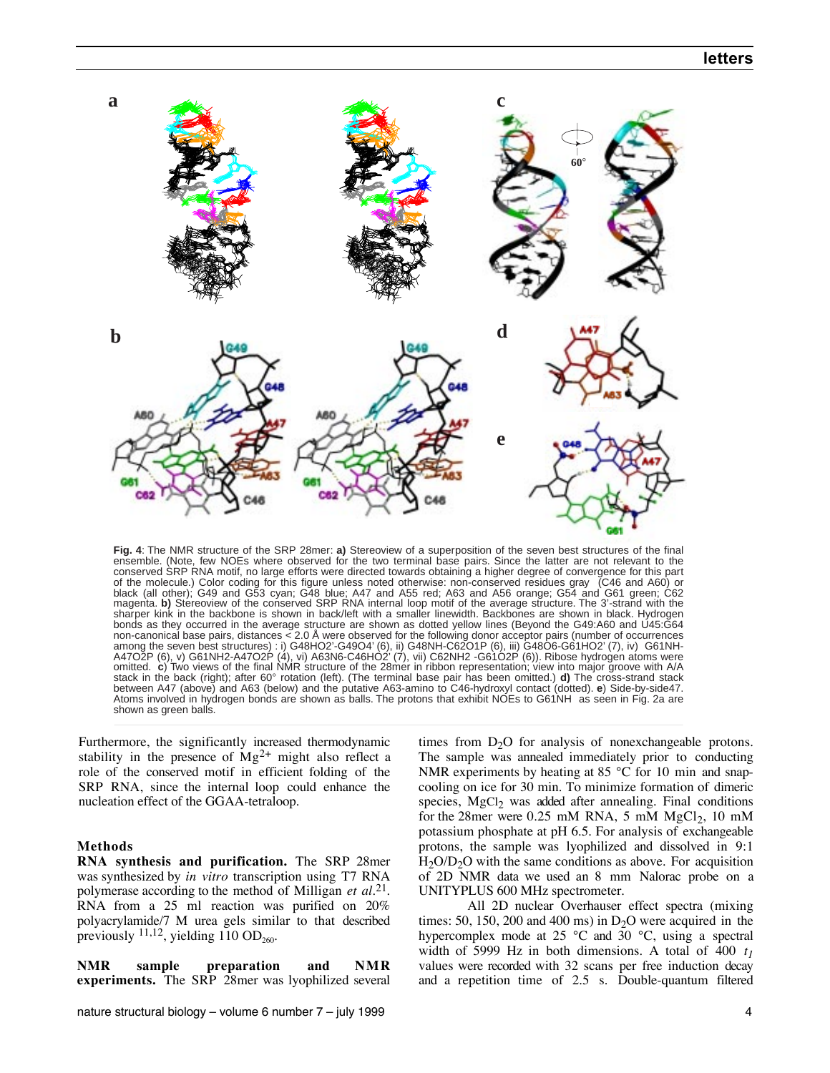

**Fig. 4**: The NMR structure of the SRP 28mer: **a)** Stereoview of a superposition of the seven best structures of the final ensemble. (Note, few NOEs where observed for the two terminal base pairs. Since the latter are not relevant to the conserved SRP RNA motif, no large efforts were directed towards obtaining a higher degree of convergence for this part of the molecule.) Color coding for this figure unless noted otherwise: non-conserved residues gray (C46 and A60) or black (all other); G49 and G53 cyan; G48 blue; A47 and A55 red; A63 and A56 orange; G54 and G61 green; C62 magenta. **b)** Stereoview of the conserved SRP RNA internal loop motif of the average structure. The 3'-strand with the sharper kink in the backbone is shown in back/left with a smaller linewidth. Backbones are shown in black. Hydrogen bonds as they occurred in the average structure are shown as dotted yellow lines (Beyond the G49:A60 and U45:G64<br>non-canonical base pairs, distances < 2.0 Å were observed for the following donor acceptor pairs (number of o stack in the back (right); after 60° rotation (left). (The terminal base pair has been omitted.) **d)** The cross-strand stack between A47 (above) and A63 (below) and the putative A63-amino to C46-hydroxyl contact (dotted). **e**) Side-by-side47. Atoms involved in hydrogen bonds are shown as balls. The protons that exhibit NOEs to G61NH as seen in Fig. 2a are shown as green balls.

Furthermore, the significantly increased thermodynamic stability in the presence of  $Mg^{2+}$  might also reflect a role of the conserved motif in efficient folding of the SRP RNA, since the internal loop could enhance the nucleation effect of the GGAA-tetraloop.

## **Methods**

**RNA synthesis and purification.** The SRP 28mer was synthesized by *in vitro* transcription using T7 RNA polymerase according to the method of Milligan *et al.*21*.* RNA from a 25 ml reaction was purified on 20% polyacrylamide/7 M urea gels similar to that described previously  $^{11,12}$ , yielding 110 OD<sub>260</sub>.

**NMR sample preparation and NMR experiments.** The SRP 28mer was lyophilized several

times from  $D_2O$  for analysis of nonexchangeable protons. The sample was annealed immediately prior to conducting NMR experiments by heating at 85 °C for 10 min and snapcooling on ice for 30 min. To minimize formation of dimeric species, MgCl<sub>2</sub> was added after annealing. Final conditions for the 28mer were  $0.25$  mM RNA, 5 mM  $MgCl<sub>2</sub>$ , 10 mM potassium phosphate at pH 6.5. For analysis of exchangeable protons, the sample was lyophilized and dissolved in 9:1  $H_2O/D_2O$  with the same conditions as above. For acquisition of 2D NMR data we used an 8 mm Nalorac probe on a UNITYPLUS 600 MHz spectrometer.

All 2D nuclear Overhauser effect spectra (mixing times: 50, 150, 200 and 400 ms) in  $D_2O$  were acquired in the hypercomplex mode at 25 °C and 30 °C, using a spectral width of 5999 Hz in both dimensions. A total of 400 *t1* values were recorded with 32 scans per free induction decay and a repetition time of 2.5 s. Double-quantum filtered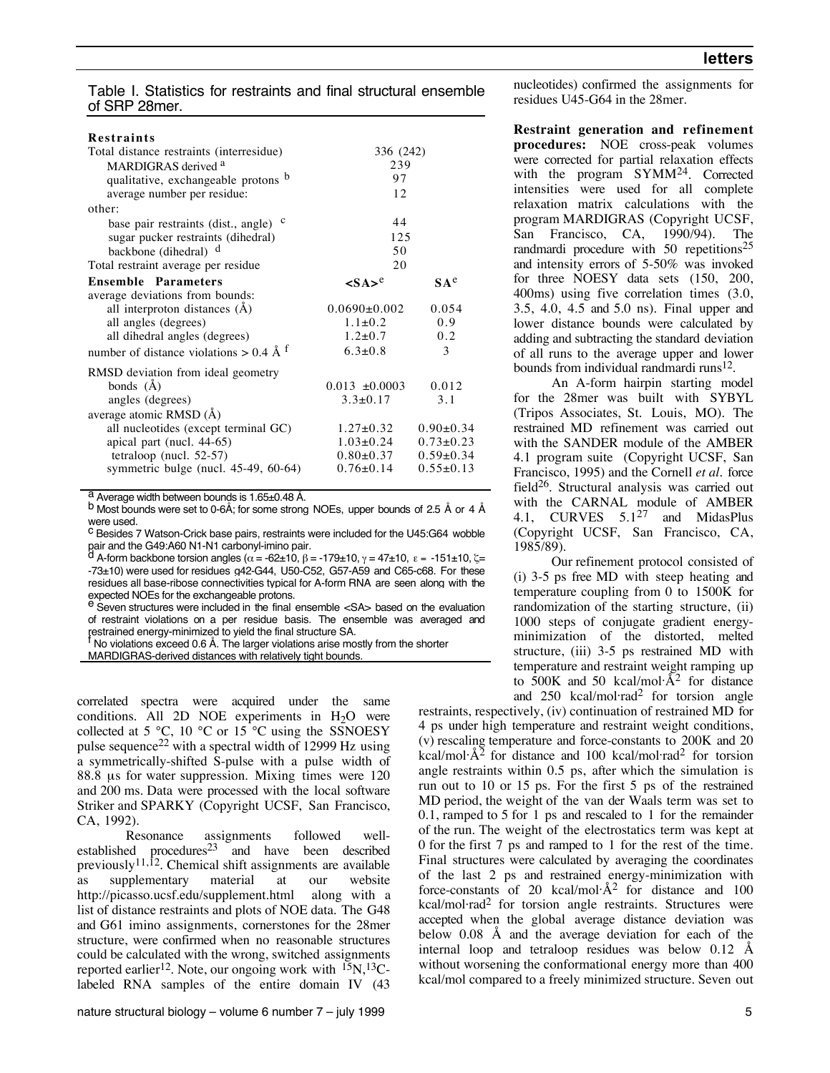Table I. Statistics for restraints and final structural ensemble of SRP 28mer.

| <b>Restraints</b>                                |                                     |                 |
|--------------------------------------------------|-------------------------------------|-----------------|
| Total distance restraints (interresidue)         | 336 (242)                           |                 |
| MARDIGRAS derived <sup>a</sup>                   | 239                                 |                 |
| qualitative, exchangeable protons b              | 97                                  |                 |
| average number per residue:                      | 12                                  |                 |
| other:                                           |                                     |                 |
| c<br>base pair restraints (dist., angle)         | 44                                  |                 |
| sugar pucker restraints (dihedral)               | 125                                 |                 |
| backbone (dihedral) d                            | 50                                  |                 |
| Total restraint average per residue              | 20                                  |                 |
| <b>Ensemble Parameters</b>                       | $\langle$ SA $\rangle$ <sup>e</sup> | SA <sup>e</sup> |
| average deviations from bounds:                  |                                     |                 |
| all interproton distances (Å)                    | $0.0690\pm0.002$                    | 0.054           |
| all angles (degrees)                             | $1.1 \pm 0.2$                       | 0.9             |
| all dihedral angles (degrees)                    | $1.2 \pm 0.7$                       | 0.2             |
| number of distance violations > 0.4 Å $^{\rm f}$ | $6.3 \pm 0.8$                       | 3               |
| RMSD deviation from ideal geometry               |                                     |                 |
| bonds $(\check{A})$                              | $0.013 \pm 0.0003$                  | 0.012           |
| angles (degrees)                                 | $3.3 \pm 0.17$                      | 3.1             |
| average atomic RMSD (Å)                          |                                     |                 |
| all nucleotides (except terminal GC)             | $1.27 \pm 0.32$                     | $0.90 \pm 0.34$ |
| apical part (nucl. 44-65)                        | $1.03 \pm 0.24$                     | $0.73 \pm 0.23$ |
| tetraloop (nucl. $52-57$ )                       | $0.80 \pm 0.37$                     | $0.59+0.34$     |
| symmetric bulge (nucl. 45-49, 60-64)             | $0.76 \pm 0.14$                     | $0.55 \pm 0.13$ |

a Average width between bounds is 1.65±0.48 Å.<br>b Most bounds were set to 0-6Å; for some strong NOEs, upper bounds of 2.5 Å or 4 Å were used.

c Besides 7 Watson-Crick base pairs, restraints were included for the U45:G64 wobble pair and the G49:A60 N1-N1 carbonyl-imino pair.

A-form backbone torsion angles ( $\alpha = 62\pm10$ ,  $\beta = -179\pm10$ ,  $\gamma = 47\pm10$ ,  $\epsilon = -151\pm10$ ,  $\zeta =$ -73±10) were used for residues g42-G44, U50-C52, G57-A59 and C65-c68. For these residues all base-ribose connectivities typical for A-form RNA are seen along with the expected NOEs for the exchangeable protons.

e Seven structures were included in the final ensemble <SA> based on the evaluation of restraint violations on a per residue basis. The ensemble was averaged and

restrained energy-minimized to yield the final structure SA.<br><sup>†</sup> No violations exceed 0.6 Å. The larger violations arise mostly from the shorter MARDIGRAS-derived distances with relatively tight bounds.

correlated spectra were acquired under the same conditions. All 2D NOE experiments in  $H<sub>2</sub>O$  were collected at 5  $\degree$ C, 10  $\degree$ C or 15  $\degree$ C using the SSNOESY pulse sequence<sup>22</sup> with a spectral width of 12999 Hz using a symmetrically-shifted S-pulse with a pulse width of 88.8 us for water suppression. Mixing times were 120 and 200 ms. Data were processed with the local software Striker and SPARKY (Copyright UCSF, San Francisco, CA, 1992).

Resonance assignments followed wellestablished procedures<sup>23</sup> and have been described previously<sup>11,12</sup>. Chemical shift assignments are available as supplementary material at our website http://picasso.ucsf.edu/supplement.html along with a list of distance restraints and plots of NOE data. The G48 and G61 imino assignments, cornerstones for the 28mer structure, were confirmed when no reasonable structures could be calculated with the wrong, switched assignments reported earlier<sup>12</sup>. Note, our ongoing work with  $^{15}N$ ,  $^{13}C$ labeled RNA samples of the entire domain IV (43 nucleotides) confirmed the assignments for residues U45-G64 in the 28mer.

**Restraint generation and refinement procedures:** NOE cross-peak volumes were corrected for partial relaxation effects with the program SYMM<sup>24</sup>. Corrected intensities were used for all complete relaxation matrix calculations with the program MARDIGRAS (Copyright UCSF, San Francisco, CA, 1990/94). The randmardi procedure with 50 repetitions<sup>25</sup> and intensity errors of 5-50% was invoked for three NOESY data sets (150, 200, 400ms) using five correlation times (3.0, 3.5, 4.0, 4.5 and 5.0 ns). Final upper and lower distance bounds were calculated by adding and subtracting the standard deviation of all runs to the average upper and lower bounds from individual randmardi runs<sup>12</sup>.

An A-form hairpin starting model for the 28mer was built with SYBYL (Tripos Associates, St. Louis, MO). The restrained MD refinement was carried out with the SANDER module of the AMBER 4.1 program suite (Copyright UCSF, San Francisco, 1995) and the Cornell *et al.* force field26. Structural analysis was carried out with the CARNAL module of AMBER 4.1, CURVES  $5.1^{27}$  and MidasPlus (Copyright UCSF, San Francisco, CA, 1985/89).

Our refinement protocol consisted of (i) 3-5 ps free MD with steep heating and temperature coupling from 0 to 1500K for randomization of the starting structure, (ii) 1000 steps of conjugate gradient energyminimization of the distorted, melted structure, (iii) 3-5 ps restrained MD with temperature and restraint weight ramping up to  $\overrightarrow{500K}$  and 50 kcal/mol $\overrightarrow{A}^2$  for distance and  $250$  kcal/mol·rad<sup>2</sup> for torsion angle

restraints, respectively, (iv) continuation of restrained MD for 4 ps under high temperature and restraint weight conditions, (v) rescaling temperature and force-constants to 200K and 20  $kcal/mol·A^2$  for distance and 100 kcal/mol·rad<sup>2</sup> for torsion angle restraints within 0.5 ps, after which the simulation is run out to 10 or 15 ps. For the first 5 ps of the restrained MD period, the weight of the van der Waals term was set to 0.1, ramped to 5 for 1 ps and rescaled to 1 for the remainder of the run. The weight of the electrostatics term was kept at 0 for the first 7 ps and ramped to 1 for the rest of the time. Final structures were calculated by averaging the coordinates of the last 2 ps and restrained energy-minimization with force-constants of 20 kcal/mol $\hat{A}^2$  for distance and 100 kcal/mol·rad<sup>2</sup> for torsion angle restraints. Structures were accepted when the global average distance deviation was below 0.08 Å and the average deviation for each of the internal loop and tetraloop residues was below 0.12 Å without worsening the conformational energy more than 400 kcal/mol compared to a freely minimized structure. Seven out